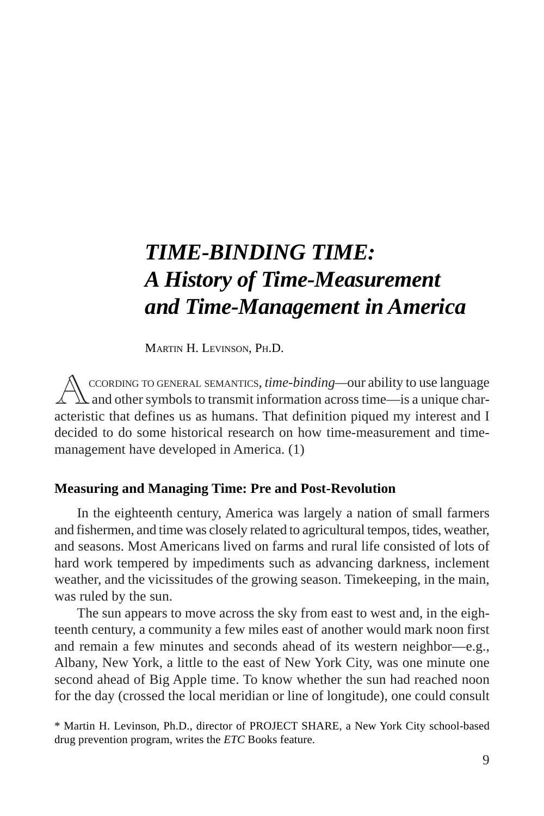# *TIME-BINDING TIME: A History of Time-Measurement and Time-Management in America*

MARTIN H. LEVINSON, PH.D.

*A*CCORDING TO GENERAL SEMANTICS, *time-binding—*our ability to use language and other symbols to transmit information across time—is a unique characteristic that defines us as humans. That definition piqued my interest and I decided to do some historical research on how time-measurement and timemanagement have developed in America. (1)

## **Measuring and Managing Time: Pre and Post-Revolution**

In the eighteenth century, America was largely a nation of small farmers and fishermen, and time was closely related to agricultural tempos, tides, weather, and seasons. Most Americans lived on farms and rural life consisted of lots of hard work tempered by impediments such as advancing darkness, inclement weather, and the vicissitudes of the growing season. Timekeeping, in the main, was ruled by the sun.

The sun appears to move across the sky from east to west and, in the eighteenth century, a community a few miles east of another would mark noon first and remain a few minutes and seconds ahead of its western neighbor—e.g., Albany, New York, a little to the east of New York City, was one minute one second ahead of Big Apple time. To know whether the sun had reached noon for the day (crossed the local meridian or line of longitude), one could consult

<sup>\*</sup> Martin H. Levinson, Ph.D., director of PROJECT SHARE, a New York City school-based drug prevention program, writes the *ETC* Books feature.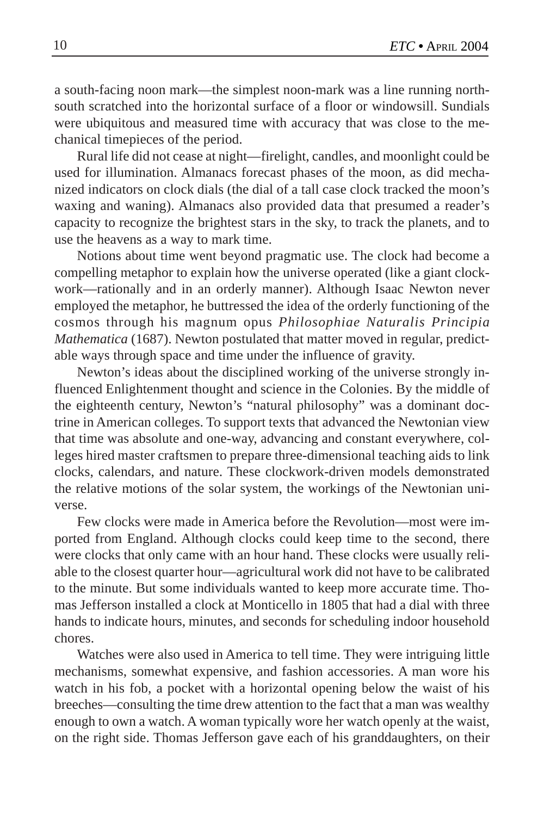a south-facing noon mark—the simplest noon-mark was a line running northsouth scratched into the horizontal surface of a floor or windowsill. Sundials were ubiquitous and measured time with accuracy that was close to the mechanical timepieces of the period.

Rural life did not cease at night—firelight, candles, and moonlight could be used for illumination. Almanacs forecast phases of the moon, as did mechanized indicators on clock dials (the dial of a tall case clock tracked the moon's waxing and waning). Almanacs also provided data that presumed a reader's capacity to recognize the brightest stars in the sky, to track the planets, and to use the heavens as a way to mark time.

Notions about time went beyond pragmatic use. The clock had become a compelling metaphor to explain how the universe operated (like a giant clockwork—rationally and in an orderly manner). Although Isaac Newton never employed the metaphor, he buttressed the idea of the orderly functioning of the cosmos through his magnum opus *Philosophiae Naturalis Principia Mathematica* (1687). Newton postulated that matter moved in regular, predictable ways through space and time under the influence of gravity.

Newton's ideas about the disciplined working of the universe strongly influenced Enlightenment thought and science in the Colonies. By the middle of the eighteenth century, Newton's "natural philosophy" was a dominant doctrine in American colleges. To support texts that advanced the Newtonian view that time was absolute and one-way, advancing and constant everywhere, colleges hired master craftsmen to prepare three-dimensional teaching aids to link clocks, calendars, and nature. These clockwork-driven models demonstrated the relative motions of the solar system, the workings of the Newtonian universe.

Few clocks were made in America before the Revolution—most were imported from England. Although clocks could keep time to the second, there were clocks that only came with an hour hand. These clocks were usually reliable to the closest quarter hour—agricultural work did not have to be calibrated to the minute. But some individuals wanted to keep more accurate time. Thomas Jefferson installed a clock at Monticello in 1805 that had a dial with three hands to indicate hours, minutes, and seconds for scheduling indoor household chores.

Watches were also used in America to tell time. They were intriguing little mechanisms, somewhat expensive, and fashion accessories. A man wore his watch in his fob, a pocket with a horizontal opening below the waist of his breeches—consulting the time drew attention to the fact that a man was wealthy enough to own a watch. A woman typically wore her watch openly at the waist, on the right side. Thomas Jefferson gave each of his granddaughters, on their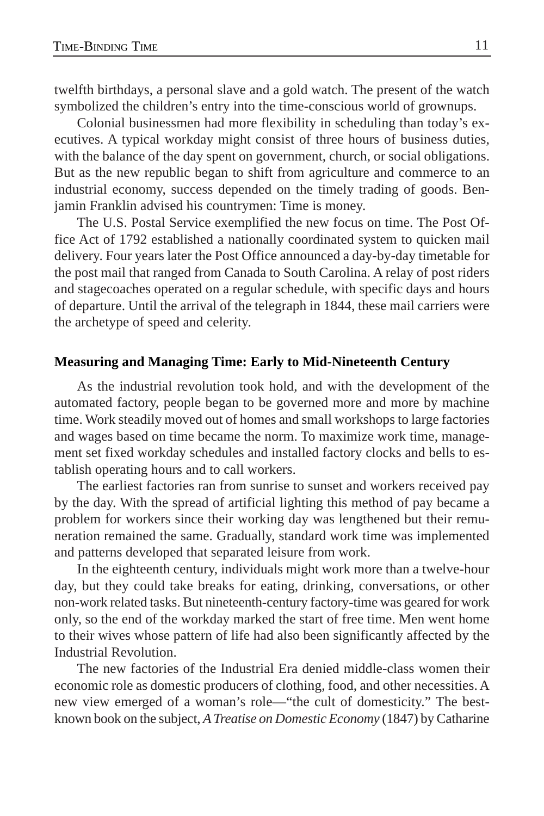twelfth birthdays, a personal slave and a gold watch. The present of the watch symbolized the children's entry into the time-conscious world of grownups.

Colonial businessmen had more flexibility in scheduling than today's executives. A typical workday might consist of three hours of business duties, with the balance of the day spent on government, church, or social obligations. But as the new republic began to shift from agriculture and commerce to an industrial economy, success depended on the timely trading of goods. Benjamin Franklin advised his countrymen: Time is money.

The U.S. Postal Service exemplified the new focus on time. The Post Office Act of 1792 established a nationally coordinated system to quicken mail delivery. Four years later the Post Office announced a day-by-day timetable for the post mail that ranged from Canada to South Carolina. A relay of post riders and stagecoaches operated on a regular schedule, with specific days and hours of departure. Until the arrival of the telegraph in 1844, these mail carriers were the archetype of speed and celerity.

## **Measuring and Managing Time: Early to Mid-Nineteenth Century**

As the industrial revolution took hold, and with the development of the automated factory, people began to be governed more and more by machine time. Work steadily moved out of homes and small workshops to large factories and wages based on time became the norm. To maximize work time, management set fixed workday schedules and installed factory clocks and bells to establish operating hours and to call workers.

The earliest factories ran from sunrise to sunset and workers received pay by the day. With the spread of artificial lighting this method of pay became a problem for workers since their working day was lengthened but their remuneration remained the same. Gradually, standard work time was implemented and patterns developed that separated leisure from work.

In the eighteenth century, individuals might work more than a twelve-hour day, but they could take breaks for eating, drinking, conversations, or other non-work related tasks. But nineteenth-century factory-time was geared for work only, so the end of the workday marked the start of free time. Men went home to their wives whose pattern of life had also been significantly affected by the Industrial Revolution.

The new factories of the Industrial Era denied middle-class women their economic role as domestic producers of clothing, food, and other necessities. A new view emerged of a woman's role—"the cult of domesticity." The bestknown book on the subject, *A Treatise on Domestic Economy* (1847) by Catharine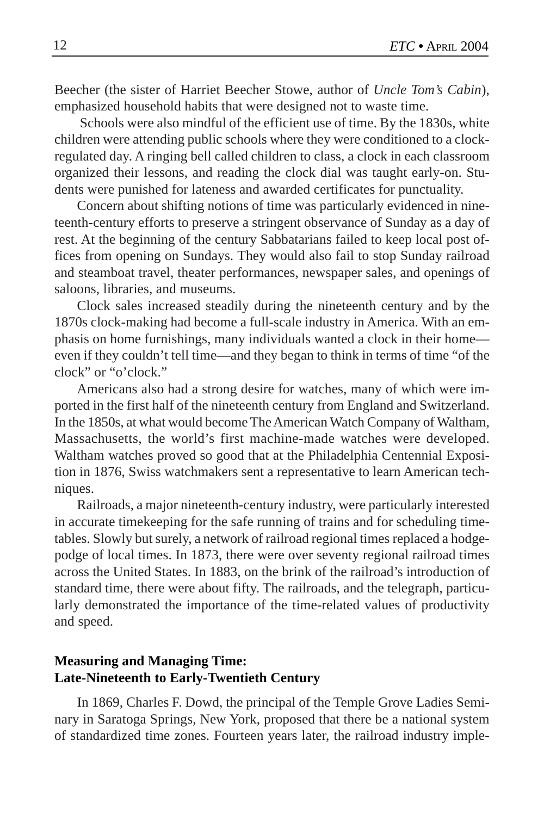Beecher (the sister of Harriet Beecher Stowe, author of *Uncle Tom's Cabin*), emphasized household habits that were designed not to waste time.

 Schools were also mindful of the efficient use of time. By the 1830s, white children were attending public schools where they were conditioned to a clockregulated day. A ringing bell called children to class, a clock in each classroom organized their lessons, and reading the clock dial was taught early-on. Students were punished for lateness and awarded certificates for punctuality.

Concern about shifting notions of time was particularly evidenced in nineteenth-century efforts to preserve a stringent observance of Sunday as a day of rest. At the beginning of the century Sabbatarians failed to keep local post offices from opening on Sundays. They would also fail to stop Sunday railroad and steamboat travel, theater performances, newspaper sales, and openings of saloons, libraries, and museums.

Clock sales increased steadily during the nineteenth century and by the 1870s clock-making had become a full-scale industry in America. With an emphasis on home furnishings, many individuals wanted a clock in their home even if they couldn't tell time—and they began to think in terms of time "of the clock" or "o'clock."

Americans also had a strong desire for watches, many of which were imported in the first half of the nineteenth century from England and Switzerland. In the 1850s, at what would become The American Watch Company of Waltham, Massachusetts, the world's first machine-made watches were developed. Waltham watches proved so good that at the Philadelphia Centennial Exposition in 1876, Swiss watchmakers sent a representative to learn American techniques.

Railroads, a major nineteenth-century industry, were particularly interested in accurate timekeeping for the safe running of trains and for scheduling timetables. Slowly but surely, a network of railroad regional times replaced a hodgepodge of local times. In 1873, there were over seventy regional railroad times across the United States. In 1883, on the brink of the railroad's introduction of standard time, there were about fifty. The railroads, and the telegraph, particularly demonstrated the importance of the time-related values of productivity and speed.

# **Measuring and Managing Time: Late-Nineteenth to Early-Twentieth Century**

In 1869, Charles F. Dowd, the principal of the Temple Grove Ladies Seminary in Saratoga Springs, New York, proposed that there be a national system of standardized time zones. Fourteen years later, the railroad industry imple-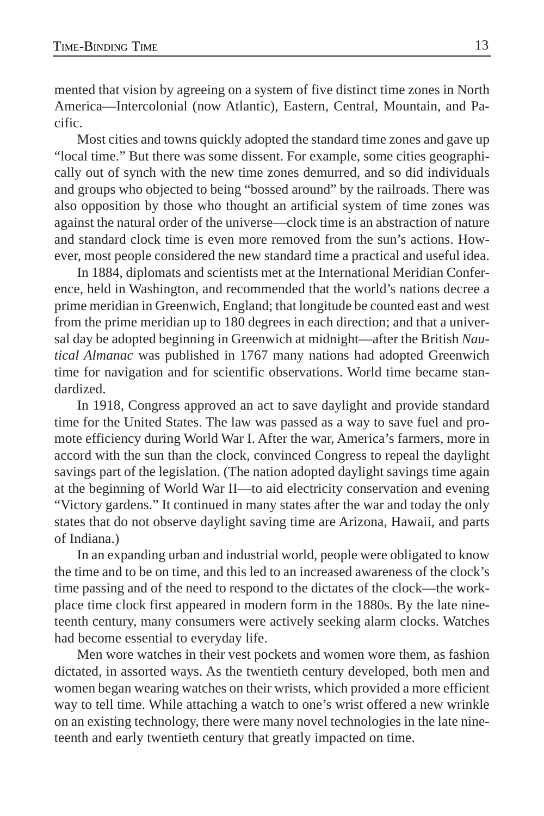mented that vision by agreeing on a system of five distinct time zones in North America—Intercolonial (now Atlantic), Eastern, Central, Mountain, and Pacific.

Most cities and towns quickly adopted the standard time zones and gave up "local time." But there was some dissent. For example, some cities geographically out of synch with the new time zones demurred, and so did individuals and groups who objected to being "bossed around" by the railroads. There was also opposition by those who thought an artificial system of time zones was against the natural order of the universe—clock time is an abstraction of nature and standard clock time is even more removed from the sun's actions. However, most people considered the new standard time a practical and useful idea.

In 1884, diplomats and scientists met at the International Meridian Conference, held in Washington, and recommended that the world's nations decree a prime meridian in Greenwich, England; that longitude be counted east and west from the prime meridian up to 180 degrees in each direction; and that a universal day be adopted beginning in Greenwich at midnight—after the British *Nautical Almanac* was published in 1767 many nations had adopted Greenwich time for navigation and for scientific observations. World time became standardized.

In 1918, Congress approved an act to save daylight and provide standard time for the United States. The law was passed as a way to save fuel and promote efficiency during World War I. After the war, America's farmers, more in accord with the sun than the clock, convinced Congress to repeal the daylight savings part of the legislation. (The nation adopted daylight savings time again at the beginning of World War II—to aid electricity conservation and evening "Victory gardens." It continued in many states after the war and today the only states that do not observe daylight saving time are Arizona, Hawaii, and parts of Indiana.)

In an expanding urban and industrial world, people were obligated to know the time and to be on time, and this led to an increased awareness of the clock's time passing and of the need to respond to the dictates of the clock—the workplace time clock first appeared in modern form in the 1880s. By the late nineteenth century, many consumers were actively seeking alarm clocks. Watches had become essential to everyday life.

Men wore watches in their vest pockets and women wore them, as fashion dictated, in assorted ways. As the twentieth century developed, both men and women began wearing watches on their wrists, which provided a more efficient way to tell time. While attaching a watch to one's wrist offered a new wrinkle on an existing technology, there were many novel technologies in the late nineteenth and early twentieth century that greatly impacted on time.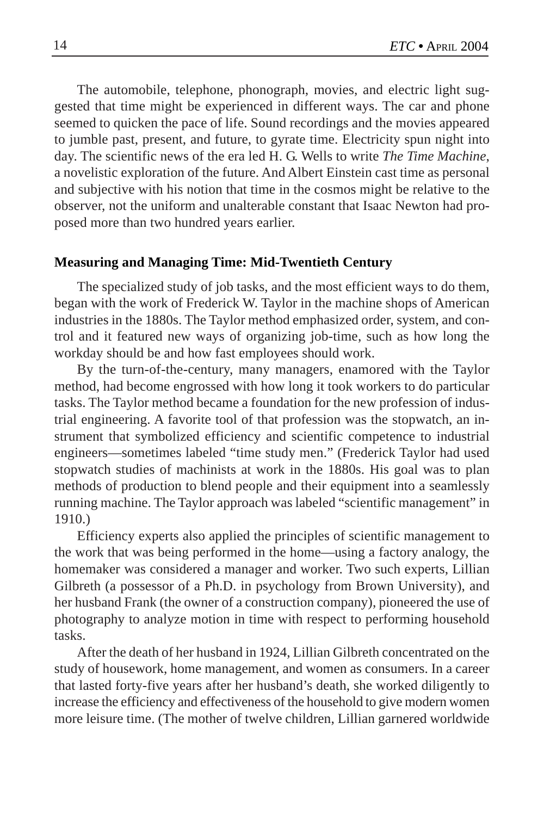The automobile, telephone, phonograph, movies, and electric light suggested that time might be experienced in different ways. The car and phone seemed to quicken the pace of life. Sound recordings and the movies appeared to jumble past, present, and future, to gyrate time. Electricity spun night into day. The scientific news of the era led H. G. Wells to write *The Time Machine*, a novelistic exploration of the future. And Albert Einstein cast time as personal and subjective with his notion that time in the cosmos might be relative to the observer, not the uniform and unalterable constant that Isaac Newton had proposed more than two hundred years earlier.

#### **Measuring and Managing Time: Mid-Twentieth Century**

The specialized study of job tasks, and the most efficient ways to do them, began with the work of Frederick W. Taylor in the machine shops of American industries in the 1880s. The Taylor method emphasized order, system, and control and it featured new ways of organizing job-time, such as how long the workday should be and how fast employees should work.

By the turn-of-the-century, many managers, enamored with the Taylor method, had become engrossed with how long it took workers to do particular tasks. The Taylor method became a foundation for the new profession of industrial engineering. A favorite tool of that profession was the stopwatch, an instrument that symbolized efficiency and scientific competence to industrial engineers—sometimes labeled "time study men." (Frederick Taylor had used stopwatch studies of machinists at work in the 1880s. His goal was to plan methods of production to blend people and their equipment into a seamlessly running machine. The Taylor approach was labeled "scientific management" in 1910.)

Efficiency experts also applied the principles of scientific management to the work that was being performed in the home—using a factory analogy, the homemaker was considered a manager and worker. Two such experts, Lillian Gilbreth (a possessor of a Ph.D. in psychology from Brown University), and her husband Frank (the owner of a construction company), pioneered the use of photography to analyze motion in time with respect to performing household tasks.

After the death of her husband in 1924, Lillian Gilbreth concentrated on the study of housework, home management, and women as consumers. In a career that lasted forty-five years after her husband's death, she worked diligently to increase the efficiency and effectiveness of the household to give modern women more leisure time. (The mother of twelve children, Lillian garnered worldwide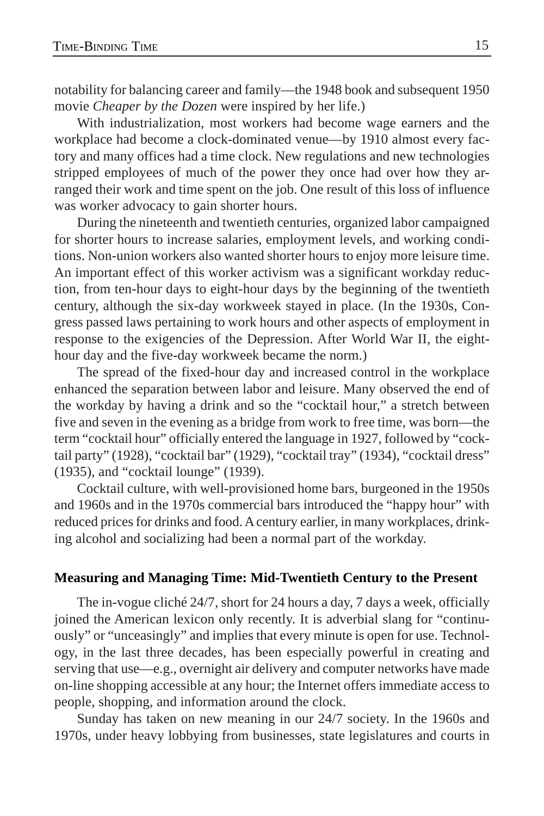notability for balancing career and family—the 1948 book and subsequent 1950 movie *Cheaper by the Dozen* were inspired by her life.)

With industrialization, most workers had become wage earners and the workplace had become a clock-dominated venue—by 1910 almost every factory and many offices had a time clock. New regulations and new technologies stripped employees of much of the power they once had over how they arranged their work and time spent on the job. One result of this loss of influence was worker advocacy to gain shorter hours.

During the nineteenth and twentieth centuries, organized labor campaigned for shorter hours to increase salaries, employment levels, and working conditions. Non-union workers also wanted shorter hours to enjoy more leisure time. An important effect of this worker activism was a significant workday reduction, from ten-hour days to eight-hour days by the beginning of the twentieth century, although the six-day workweek stayed in place. (In the 1930s, Congress passed laws pertaining to work hours and other aspects of employment in response to the exigencies of the Depression. After World War II, the eighthour day and the five-day workweek became the norm.)

The spread of the fixed-hour day and increased control in the workplace enhanced the separation between labor and leisure. Many observed the end of the workday by having a drink and so the "cocktail hour," a stretch between five and seven in the evening as a bridge from work to free time, was born—the term "cocktail hour" officially entered the language in 1927, followed by "cocktail party" (1928), "cocktail bar" (1929), "cocktail tray" (1934), "cocktail dress" (1935), and "cocktail lounge" (1939).

Cocktail culture, with well-provisioned home bars, burgeoned in the 1950s and 1960s and in the 1970s commercial bars introduced the "happy hour" with reduced prices for drinks and food. A century earlier, in many workplaces, drinking alcohol and socializing had been a normal part of the workday.

## **Measuring and Managing Time: Mid-Twentieth Century to the Present**

The in-vogue cliché 24/7, short for 24 hours a day, 7 days a week, officially joined the American lexicon only recently. It is adverbial slang for "continuously" or "unceasingly" and implies that every minute is open for use. Technology, in the last three decades, has been especially powerful in creating and serving that use—e.g., overnight air delivery and computer networks have made on-line shopping accessible at any hour; the Internet offers immediate access to people, shopping, and information around the clock.

Sunday has taken on new meaning in our 24/7 society. In the 1960s and 1970s, under heavy lobbying from businesses, state legislatures and courts in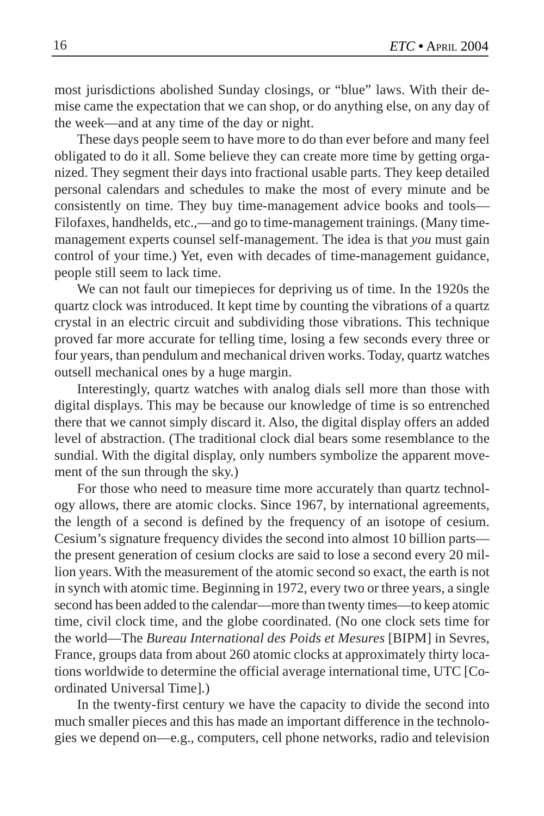most jurisdictions abolished Sunday closings, or "blue" laws. With their demise came the expectation that we can shop, or do anything else, on any day of the week—and at any time of the day or night.

These days people seem to have more to do than ever before and many feel obligated to do it all. Some believe they can create more time by getting organized. They segment their days into fractional usable parts. They keep detailed personal calendars and schedules to make the most of every minute and be consistently on time. They buy time-management advice books and tools— Filofaxes, handhelds, etc.,—and go to time-management trainings. (Many timemanagement experts counsel self-management. The idea is that *you* must gain control of your time.) Yet, even with decades of time-management guidance, people still seem to lack time.

We can not fault our timepieces for depriving us of time. In the 1920s the quartz clock was introduced. It kept time by counting the vibrations of a quartz crystal in an electric circuit and subdividing those vibrations. This technique proved far more accurate for telling time, losing a few seconds every three or four years, than pendulum and mechanical driven works. Today, quartz watches outsell mechanical ones by a huge margin.

Interestingly, quartz watches with analog dials sell more than those with digital displays. This may be because our knowledge of time is so entrenched there that we cannot simply discard it. Also, the digital display offers an added level of abstraction. (The traditional clock dial bears some resemblance to the sundial. With the digital display, only numbers symbolize the apparent movement of the sun through the sky.)

For those who need to measure time more accurately than quartz technology allows, there are atomic clocks. Since 1967, by international agreements, the length of a second is defined by the frequency of an isotope of cesium. Cesium's signature frequency divides the second into almost 10 billion parts the present generation of cesium clocks are said to lose a second every 20 million years. With the measurement of the atomic second so exact, the earth is not in synch with atomic time. Beginning in 1972, every two or three years, a single second has been added to the calendar—more than twenty times—to keep atomic time, civil clock time, and the globe coordinated. (No one clock sets time for the world—The *Bureau International des Poids et Mesures* [BIPM] in Sevres, France, groups data from about 260 atomic clocks at approximately thirty locations worldwide to determine the official average international time, UTC [Coordinated Universal Time].)

In the twenty-first century we have the capacity to divide the second into much smaller pieces and this has made an important difference in the technologies we depend on—e.g., computers, cell phone networks, radio and television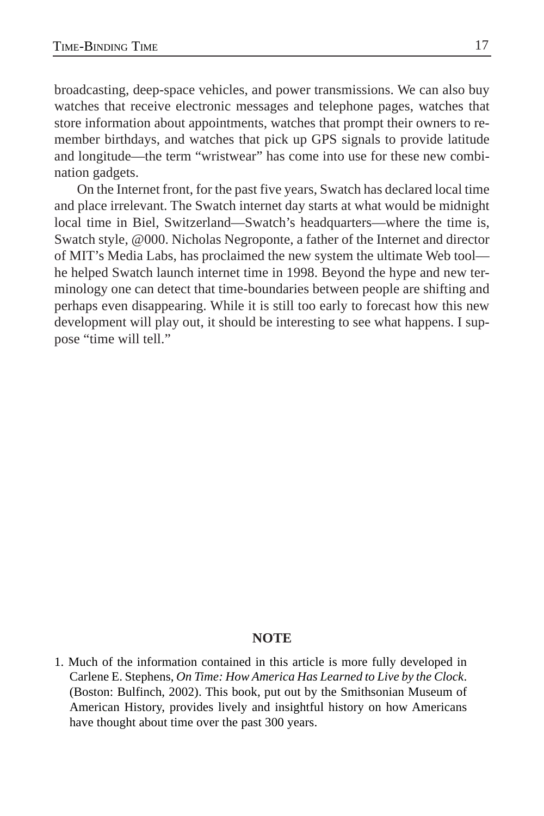broadcasting, deep-space vehicles, and power transmissions. We can also buy watches that receive electronic messages and telephone pages, watches that store information about appointments, watches that prompt their owners to remember birthdays, and watches that pick up GPS signals to provide latitude and longitude—the term "wristwear" has come into use for these new combination gadgets.

On the Internet front, for the past five years, Swatch has declared local time and place irrelevant. The Swatch internet day starts at what would be midnight local time in Biel, Switzerland—Swatch's headquarters—where the time is, Swatch style, @000. Nicholas Negroponte, a father of the Internet and director of MIT's Media Labs, has proclaimed the new system the ultimate Web tool he helped Swatch launch internet time in 1998. Beyond the hype and new terminology one can detect that time-boundaries between people are shifting and perhaps even disappearing. While it is still too early to forecast how this new development will play out, it should be interesting to see what happens. I suppose "time will tell."

## **NOTE**

1. Much of the information contained in this article is more fully developed in Carlene E. Stephens, *On Time: How America Has Learned to Live by the Clock*. (Boston: Bulfinch, 2002). This book, put out by the Smithsonian Museum of American History, provides lively and insightful history on how Americans have thought about time over the past 300 years.